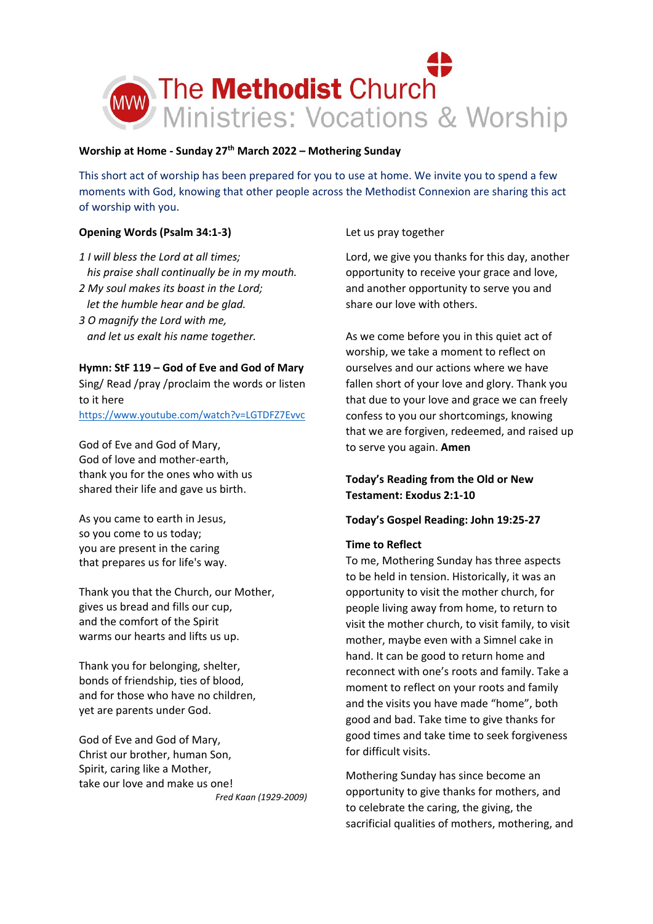

## **Worship at Home - Sunday 27th March 2022 – Mothering Sunday**

This short act of worship has been prepared for you to use at home. We invite you to spend a few moments with God, knowing that other people across the Methodist Connexion are sharing this act of worship with you.

## **Opening Words (Psalm 34:1-3)**

*1 I will bless the Lord at all times; his praise shall continually be in my mouth. 2 My soul makes its boast in the Lord; let the humble hear and be glad. 3 O magnify the Lord with me, and let us exalt his name together.*

### **Hymn: StF 119 – God of Eve and God of Mary**

Sing/ Read /pray /proclaim the words or listen to it here

<https://www.youtube.com/watch?v=LGTDFZ7Evvc>

God of Eve and God of Mary, God of love and mother-earth, thank you for the ones who with us shared their life and gave us birth.

As you came to earth in Jesus, so you come to us today; you are present in the caring that prepares us for life's way.

Thank you that the Church, our Mother, gives us bread and fills our cup, and the comfort of the Spirit warms our hearts and lifts us up.

Thank you for belonging, shelter, bonds of friendship, ties of blood, and for those who have no children, yet are parents under God.

God of Eve and God of Mary, Christ our brother, human Son, Spirit, caring like a Mother, take our love and make us one! *Fred Kaan (1929-2009)*

## Let us pray together

Lord, we give you thanks for this day, another opportunity to receive your grace and love, and another opportunity to serve you and share our love with others.

As we come before you in this quiet act of worship, we take a moment to reflect on ourselves and our actions where we have fallen short of your love and glory. Thank you that due to your love and grace we can freely confess to you our shortcomings, knowing that we are forgiven, redeemed, and raised up to serve you again. **Amen**

# **Today's Reading from the Old or New Testament: Exodus 2:1-10**

### **Today's Gospel Reading: John 19:25-27**

### **Time to Reflect**

To me, Mothering Sunday has three aspects to be held in tension. Historically, it was an opportunity to visit the mother church, for people living away from home, to return to visit the mother church, to visit family, to visit mother, maybe even with a Simnel cake in hand. It can be good to return home and reconnect with one's roots and family. Take a moment to reflect on your roots and family and the visits you have made "home", both good and bad. Take time to give thanks for good times and take time to seek forgiveness for difficult visits.

Mothering Sunday has since become an opportunity to give thanks for mothers, and to celebrate the caring, the giving, the sacrificial qualities of mothers, mothering, and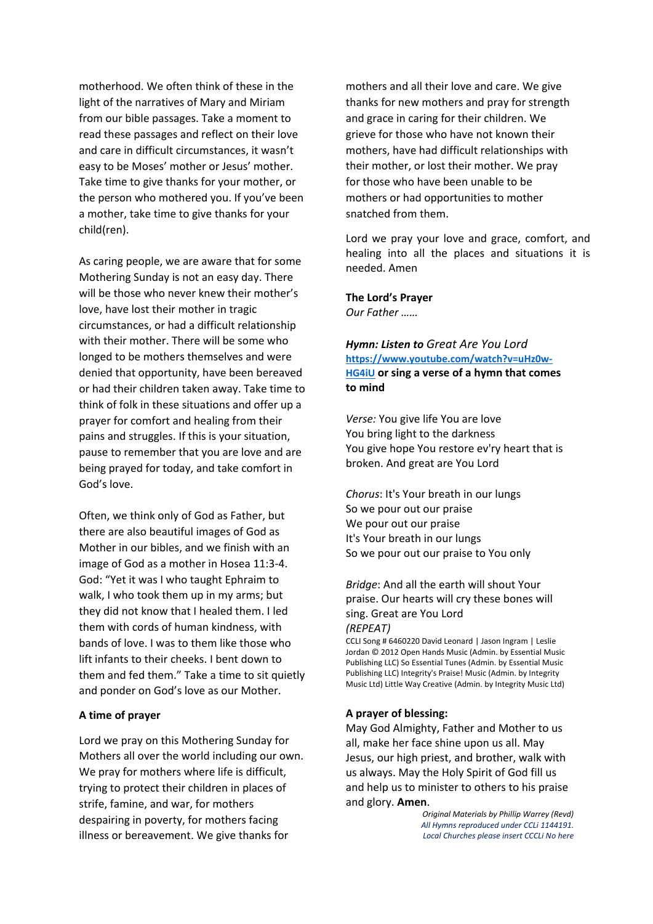motherhood. We often think of these in the light of the narratives of Mary and Miriam from our bible passages. Take a moment to read these passages and reflect on their love and care in difficult circumstances, it wasn't easy to be Moses' mother or Jesus' mother. Take time to give thanks for your mother, or the person who mothered you. If you've been a mother, take time to give thanks for your child(ren).

As caring people, we are aware that for some Mothering Sunday is not an easy day. There will be those who never knew their mother's love, have lost their mother in tragic circumstances, or had a difficult relationship with their mother. There will be some who longed to be mothers themselves and were denied that opportunity, have been bereaved or had their children taken away. Take time to think of folk in these situations and offer up a prayer for comfort and healing from their pains and struggles. If this is your situation, pause to remember that you are love and are being prayed for today, and take comfort in God's love.

Often, we think only of God as Father, but there are also beautiful images of God as Mother in our bibles, and we finish with an image of God as a mother in Hosea 11:3-4. God: "Yet it was I who taught Ephraim to walk, I who took them up in my arms; but they did not know that I healed them. I led them with cords of human kindness, with bands of love. I was to them like those who lift infants to their cheeks. I bent down to them and fed them." Take a time to sit quietly and ponder on God's love as our Mother.

#### **A time of prayer**

Lord we pray on this Mothering Sunday for Mothers all over the world including our own. We pray for mothers where life is difficult, trying to protect their children in places of strife, famine, and war, for mothers despairing in poverty, for mothers facing illness or bereavement. We give thanks for

mothers and all their love and care. We give thanks for new mothers and pray for strength and grace in caring for their children. We grieve for those who have not known their mothers, have had difficult relationships with their mother, or lost their mother. We pray for those who have been unable to be mothers or had opportunities to mother snatched from them.

Lord we pray your love and grace, comfort, and healing into all the places and situations it is needed. Amen

## **The Lord's Prayer**

*Our Father ……*

## *Hymn: Listen to Great Are You Lord* **[https://www.youtube.com/watch?v=uHz0w-](https://www.youtube.com/watch?v=uHz0w-HG4iU)[HG4iU](https://www.youtube.com/watch?v=uHz0w-HG4iU) or sing a verse of a hymn that comes to mind**

*Verse:* You give life You are love You bring light to the darkness You give hope You restore ev'ry heart that is broken. And great are You Lord

*Chorus*: It's Your breath in our lungs So we pour out our praise We pour out our praise It's Your breath in our lungs So we pour out our praise to You only

## *Bridge*: And all the earth will shout Your praise. Our hearts will cry these bones will sing. Great are You Lord *(REPEAT)*

CCLI Song # 6460220 David Leonard | Jason Ingram | Leslie Jordan © 2012 Open Hands Music (Admin. by Essential Music Publishing LLC) So Essential Tunes (Admin. by Essential Music Publishing LLC) Integrity's Praise! Music (Admin. by Integrity Music Ltd) Little Way Creative (Admin. by Integrity Music Ltd)

#### **A prayer of blessing:**

May God Almighty, Father and Mother to us all, make her face shine upon us all. May Jesus, our high priest, and brother, walk with us always. May the Holy Spirit of God fill us and help us to minister to others to his praise and glory. **Amen**.

> *Original Materials by Phillip Warrey (Revd) All Hymns reproduced under CCLi 1144191. Local Churches please insert CCCLi No here*